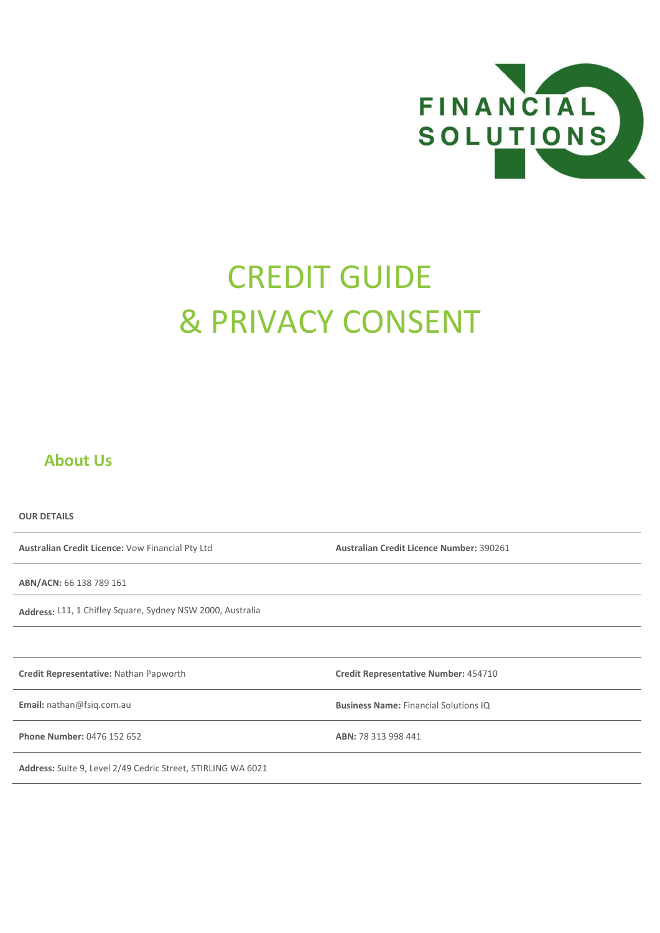

# CREDIT GUIDE & PRIVACY CONSENT

### **About Us**

**OUR DETAILS Australian Credit Licence:** Vow Financial Pty Ltd **Australian Credit Licence Number:** 390261 **ABN/ACN:** 66 138 789 161 **Address:** L11, 1 Chifley Square, Sydney NSW 2000, Australia **Credit Representative:** Nathan Papworth **Credit Representative Number:** 454710 **Email:** nathan@fsiq.com.au **Business Name:** Financial Solutions IQ **Phone Number:** 0476 152 652 **ABN:** 78 313 998 441 **Address:** Suite 9, Level 2/49 Cedric Street, STIRLING WA 6021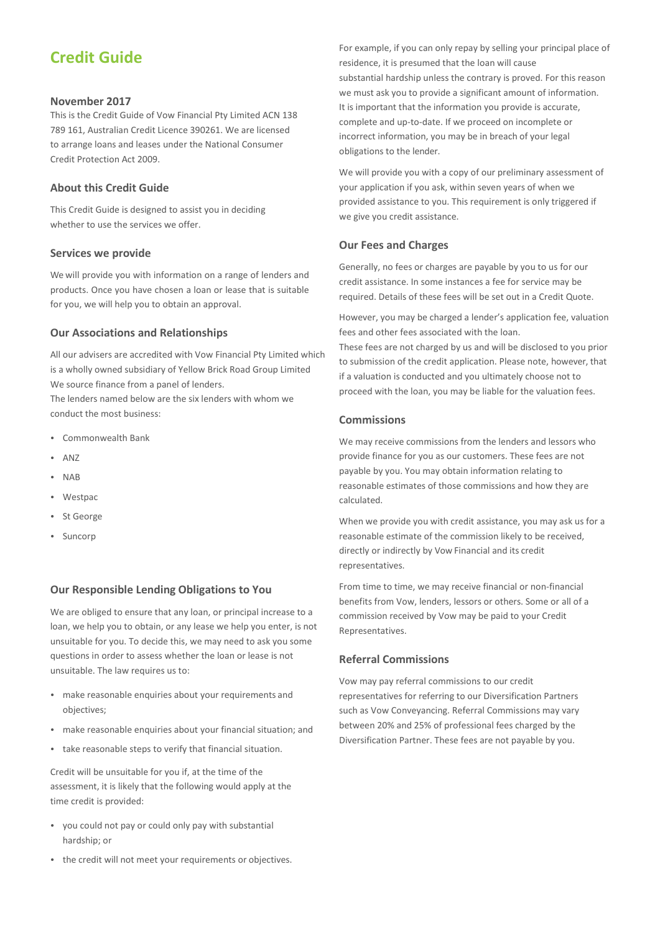# **Credit Guide**

#### **November 2017**

This is the Credit Guide of Vow Financial Pty Limited ACN 138 789 161, Australian Credit Licence 390261. We are licensed to arrange loans and leases under the National Consumer Credit Protection Act 2009.

#### **About this Credit Guide**

This Credit Guide is designed to assist you in deciding whether to use the services we offer.

#### **Services we provide**

We will provide you with information on a range of lenders and products. Once you have chosen a loan or lease that is suitable for you, we will help you to obtain an approval.

#### **Our Associations and Relationships**

All our advisers are accredited with Vow Financial Pty Limited which is a wholly owned subsidiary of Yellow Brick Road Group Limited We source finance from a panel of lenders.

The lenders named below are the six lenders with whom we conduct the most business:

- Commonwealth Bank
- ANZ
- NAB
- Westpac
- St George
- Suncorp

#### **Our Responsible Lending Obligations to You**

We are obliged to ensure that any loan, or principal increase to a loan, we help you to obtain, or any lease we help you enter, is not unsuitable for you. To decide this, we may need to ask you some questions in order to assess whether the loan or lease is not unsuitable. The law requires us to:

- make reasonable enquiries about your requirements and objectives;
- make reasonable enquiries about your financial situation; and
- take reasonable steps to verify that financial situation.

Credit will be unsuitable for you if, at the time of the assessment, it is likely that the following would apply at the time credit is provided:

- you could not pay or could only pay with substantial hardship; or
- the credit will not meet your requirements or objectives.

For example, if you can only repay by selling your principal place of residence, it is presumed that the loan will cause substantial hardship unless the contrary is proved. For this reason we must ask you to provide a significant amount of information. It is important that the information you provide is accurate, complete and up-to-date. If we proceed on incomplete or incorrect information, you may be in breach of your legal obligations to the lender.

We will provide you with a copy of our preliminary assessment of your application if you ask, within seven years of when we provided assistance to you. This requirement is only triggered if we give you credit assistance.

#### **Our Fees and Charges**

Generally, no fees or charges are payable by you to us for our credit assistance. In some instances a fee for service may be required. Details of these fees will be set out in a Credit Quote.

However, you may be charged a lender's application fee, valuation fees and other fees associated with the loan.

These fees are not charged by us and will be disclosed to you prior to submission of the credit application. Please note, however, that if a valuation is conducted and you ultimately choose not to proceed with the loan, you may be liable for the valuation fees.

#### **Commissions**

We may receive commissions from the lenders and lessors who provide finance for you as our customers. These fees are not payable by you. You may obtain information relating to reasonable estimates of those commissions and how they are calculated.

When we provide you with credit assistance, you may ask us for a reasonable estimate of the commission likely to be received, directly or indirectly by Vow Financial and its credit representatives.

From time to time, we may receive financial or non-financial benefits from Vow, lenders, lessors or others. Some or all of a commission received by Vow may be paid to your Credit Representatives.

#### **Referral Commissions**

Vow may pay referral commissions to our credit representatives for referring to our Diversification Partners such as Vow Conveyancing. Referral Commissions may vary between 20% and 25% of professional fees charged by the Diversification Partner. These fees are not payable by you.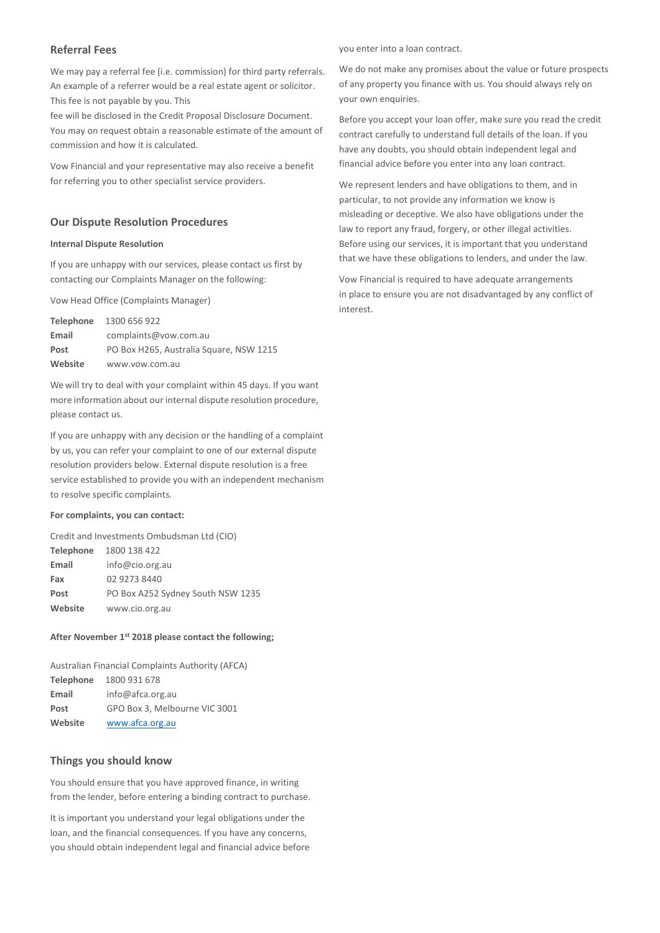#### **Referral Fees**

We may pay a referral fee (i.e. commission) for third party referrals. An example of a referrer would be a real estate agent or solicitor. This fee is not payable by you. This

fee will be disclosed in the Credit Proposal Disclosure Document. You may on request obtain a reasonable estimate of the amount of commission and how it is calculated.

Vow Financial and your representative may also receive a benefit for referring you to other specialist service providers.

#### **Our Dispute Resolution Procedures**

#### **Internal Dispute Resolution**

If you are unhappy with our services, please contact us first by contacting our Complaints Manager on the following:

Vow Head Office (Complaints Manager)

|         | Telephone 1300 656 922                  |
|---------|-----------------------------------------|
| Email   | complaints@vow.com.au                   |
| Post    | PO Box H265, Australia Square, NSW 1215 |
| Website | www.vow.com.au                          |

We will try to deal with your complaint within 45 days. If you want more information about our internal dispute resolution procedure, please contact us.

If you are unhappy with any decision or the handling of a complaint by us, you can refer your complaint to one of our external dispute resolution providers below. External dispute resolution is a free service established to provide you with an independent mechanism to resolve specific complaints.

#### **For complaints, you can contact:**

Credit and Investments Ombudsman Ltd (CIO) **Telephone** 1800 138 422 **Email** [info@cio.org.au](mailto:info@cio.org.au) **Fax** 02 9273 8440 Post PO Box A252 Sydney South NSW 1235 **Website** [www.cio.org.au](http://www.cio.org.au/) 

#### **After November 1st 2018 please contact the following;**

Australian Financial Complaints Authority (AFCA) **Telephone** 1800 931 678 **Email** info@afca.org.au Post GPO Box 3, Melbourne VIC 3001 **Website** [www.afca.org.au](http://www.afca.org.au/)

#### **Things you should know**

You should ensure that you have approved finance, in writing from the lender, before entering a binding contract to purchase.

It is important you understand your legal obligations under the loan, and the financial consequences. If you have any concerns, you should obtain independent legal and financial advice before you enter into a loan contract.

We do not make any promises about the value or future prospects of any property you finance with us. You should always rely on your own enquiries.

Before you accept your loan offer, make sure you read the credit contract carefully to understand full details of the loan. If you have any doubts, you should obtain independent legal and financial advice before you enter into any loan contract.

We represent lenders and have obligations to them, and in particular, to not provide any information we know is misleading or deceptive. We also have obligations under the law to report any fraud, forgery, or other illegal activities. Before using our services, it is important that you understand that we have these obligations to lenders, and under the law.

Vow Financial is required to have adequate arrangements in place to ensure you are not disadvantaged by any conflict of interest.